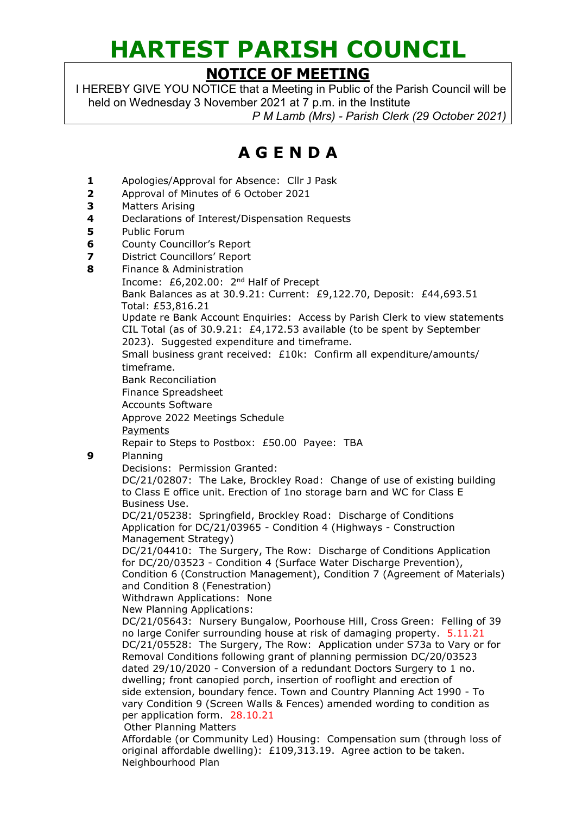## **HARTEST PARISH COUNCIL**

## **NOTICE OF MEETING**

I HEREBY GIVE YOU NOTICE that a Meeting in Public of the Parish Council will be held on Wednesday 3 November 2021 at 7 p.m. in the Institute *P M Lamb (Mrs) - Parish Clerk (29 October 2021)*

## **A G E N D A**

- **1** Apologies/Approval for Absence: Cllr J Pask
- **2** Approval of Minutes of 6 October 2021
- **3** Matters Arising
- **4** Declarations of Interest/Dispensation Requests
- **5** Public Forum
- **6** County Councillor's Report
- **7** District Councillors' Report
- **8** Finance & Administration

Income: £6,202.00: 2nd Half of Precept

Bank Balances as at 30.9.21: Current: £9,122.70, Deposit: £44,693.51 Total: £53,816.21

Update re Bank Account Enquiries: Access by Parish Clerk to view statements CIL Total (as of 30.9.21: £4,172.53 available (to be spent by September 2023). Suggested expenditure and timeframe.

Small business grant received: £10k: Confirm all expenditure/amounts/ timeframe.

Bank Reconciliation

Finance Spreadsheet

Accounts Software

Approve 2022 Meetings Schedule

Payments

Repair to Steps to Postbox: £50.00 Payee: TBA

**9** Planning

Decisions: Permission Granted:

DC/21/02807: The Lake, Brockley Road: Change of use of existing building to Class E office unit. Erection of 1no storage barn and WC for Class E Business Use.

DC/21/05238: Springfield, Brockley Road: Discharge of Conditions Application for DC/21/03965 - Condition 4 (Highways - Construction Management Strategy)

DC/21/04410: The Surgery, The Row: Discharge of Conditions Application for DC/20/03523 - Condition 4 (Surface Water Discharge Prevention), Condition 6 (Construction Management), Condition 7 (Agreement of Materials) and Condition 8 (Fenestration)

Withdrawn Applications: None

New Planning Applications:

DC/21/05643: Nursery Bungalow, Poorhouse Hill, Cross Green: Felling of 39 no large Conifer surrounding house at risk of damaging property. 5.11.21 DC/21/05528: The Surgery, The Row: Application under S73a to Vary or for Removal Conditions following grant of planning permission DC/20/03523 dated 29/10/2020 - Conversion of a redundant Doctors Surgery to 1 no. dwelling; front canopied porch, insertion of rooflight and erection of side extension, boundary fence. Town and Country Planning Act 1990 - To vary Condition 9 (Screen Walls & Fences) amended wording to condition as per application form. 28.10.21 Other Planning Matters

Affordable (or Community Led) Housing: Compensation sum (through loss of original affordable dwelling): £109,313.19. Agree action to be taken. Neighbourhood Plan